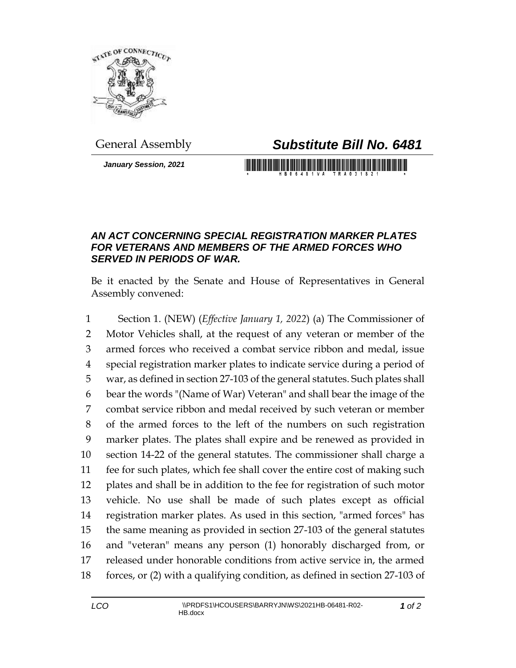

## General Assembly *Substitute Bill No. 6481*

*January Session, 2021*

## 

## *AN ACT CONCERNING SPECIAL REGISTRATION MARKER PLATES FOR VETERANS AND MEMBERS OF THE ARMED FORCES WHO SERVED IN PERIODS OF WAR.*

Be it enacted by the Senate and House of Representatives in General Assembly convened:

 Section 1. (NEW) (*Effective January 1, 2022*) (a) The Commissioner of Motor Vehicles shall, at the request of any veteran or member of the armed forces who received a combat service ribbon and medal, issue special registration marker plates to indicate service during a period of war, as defined in section 27-103 of the general statutes. Such plates shall bear the words "(Name of War) Veteran" and shall bear the image of the combat service ribbon and medal received by such veteran or member of the armed forces to the left of the numbers on such registration marker plates. The plates shall expire and be renewed as provided in section 14-22 of the general statutes. The commissioner shall charge a fee for such plates, which fee shall cover the entire cost of making such plates and shall be in addition to the fee for registration of such motor vehicle. No use shall be made of such plates except as official registration marker plates. As used in this section, "armed forces" has the same meaning as provided in section 27-103 of the general statutes and "veteran" means any person (1) honorably discharged from, or released under honorable conditions from active service in, the armed forces, or (2) with a qualifying condition, as defined in section 27-103 of